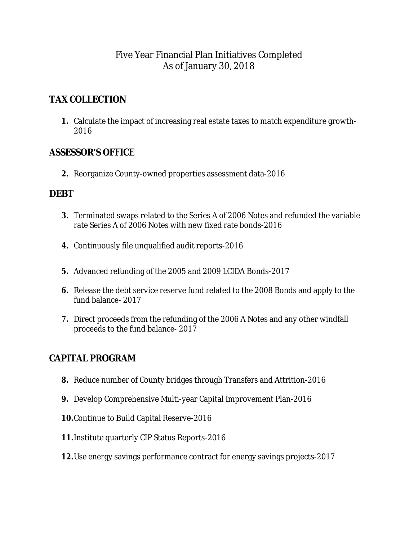## Five Year Financial Plan Initiatives Completed As of January 30, 2018

# **TAX COLLECTION**

**1.** Calculate the impact of increasing real estate taxes to match expenditure growth-2016

### **ASSESSOR'S OFFICE**

**2.** Reorganize County-owned properties assessment data-2016

### **DEBT**

- **3.** Terminated swaps related to the Series A of 2006 Notes and refunded the variable rate Series A of 2006 Notes with new fixed rate bonds-2016
- **4.** Continuously file unqualified audit reports-2016
- **5.** Advanced refunding of the 2005 and 2009 LCIDA Bonds-2017
- **6.** Release the debt service reserve fund related to the 2008 Bonds and apply to the fund balance- 2017
- **7.** Direct proceeds from the refunding of the 2006 A Notes and any other windfall proceeds to the fund balance- 2017

# **CAPITAL PROGRAM**

- **8.** Reduce number of County bridges through Transfers and Attrition-2016
- **9.** Develop Comprehensive Multi-year Capital Improvement Plan-2016
- **10.**Continue to Build Capital Reserve-2016
- **11.**Institute quarterly CIP Status Reports-2016
- **12.**Use energy savings performance contract for energy savings projects-2017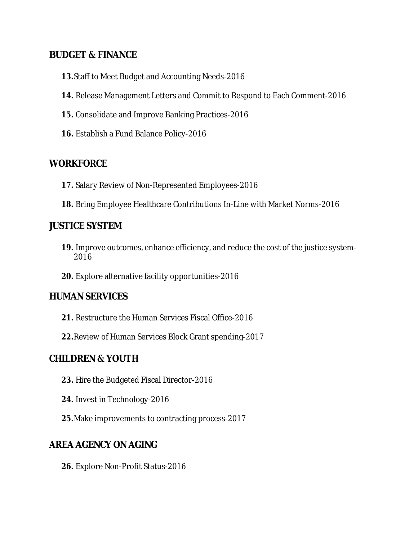### **BUDGET & FINANCE**

- **13.**Staff to Meet Budget and Accounting Needs-2016
- **14.** Release Management Letters and Commit to Respond to Each Comment-2016
- **15.** Consolidate and Improve Banking Practices-2016
- **16.** Establish a Fund Balance Policy-2016

#### **WORKFORCE**

- **17.** Salary Review of Non-Represented Employees-2016
- **18.** Bring Employee Healthcare Contributions In-Line with Market Norms-2016

#### **JUSTICE SYSTEM**

- **19.** Improve outcomes, enhance efficiency, and reduce the cost of the justice system-2016
- **20.** Explore alternative facility opportunities-2016

#### **HUMAN SERVICES**

- **21.** Restructure the Human Services Fiscal Office-2016
- **22.**Review of Human Services Block Grant spending-2017

### **CHILDREN & YOUTH**

- **23.** Hire the Budgeted Fiscal Director-2016
- **24.** Invest in Technology-2016
- **25.**Make improvements to contracting process-2017

#### **AREA AGENCY ON AGING**

**26.** Explore Non-Profit Status-2016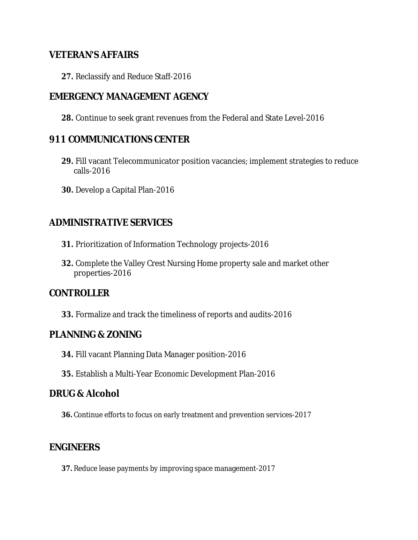#### **VETERAN'S AFFAIRS**

**27.** Reclassify and Reduce Staff-2016

### **EMERGENCY MANAGEMENT AGENCY**

**28.** Continue to seek grant revenues from the Federal and State Level-2016

#### **911 COMMUNICATIONS CENTER**

- **29.** Fill vacant Telecommunicator position vacancies; implement strategies to reduce calls-2016
- **30.** Develop a Capital Plan-2016

#### **ADMINISTRATIVE SERVICES**

- **31.** Prioritization of Information Technology projects-2016
- **32.** Complete the Valley Crest Nursing Home property sale and market other properties-2016

#### **CONTROLLER**

**33.** Formalize and track the timeliness of reports and audits-2016

#### **PLANNING & ZONING**

- **34.** Fill vacant Planning Data Manager position-2016
- **35.** Establish a Multi-Year Economic Development Plan-2016

#### **DRUG & Alcohol**

**36.** Continue efforts to focus on early treatment and prevention services-2017

#### **ENGINEERS**

**37.** Reduce lease payments by improving space management-2017